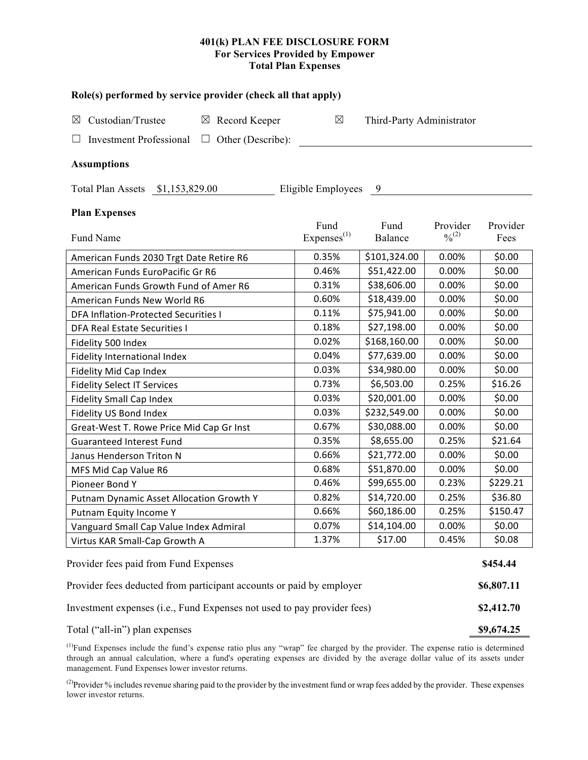## **401(k) PLAN FEE DISCLOSURE FORM For Services Provided by Empower Total Plan Expenses**

| Role(s) performed by service provider (check all that apply)            |                         |                           |                              |          |  |  |  |  |  |
|-------------------------------------------------------------------------|-------------------------|---------------------------|------------------------------|----------|--|--|--|--|--|
| Custodian/Trustee<br>$\boxtimes$ Record Keeper<br>⊠                     | X                       | Third-Party Administrator |                              |          |  |  |  |  |  |
| <b>Investment Professional</b><br>Other (Describe):<br>⊔<br>$\Box$      |                         |                           |                              |          |  |  |  |  |  |
|                                                                         |                         |                           |                              |          |  |  |  |  |  |
| <b>Assumptions</b>                                                      |                         |                           |                              |          |  |  |  |  |  |
| Eligible Employees<br>Total Plan Assets \$1,153,829.00<br>- 9           |                         |                           |                              |          |  |  |  |  |  |
| <b>Plan Expenses</b>                                                    |                         |                           |                              |          |  |  |  |  |  |
|                                                                         | Fund                    | Fund                      | Provider                     | Provider |  |  |  |  |  |
| Fund Name                                                               | Expenses <sup>(1)</sup> | Balance                   | $\frac{0}{2}$ <sup>(2)</sup> | Fees     |  |  |  |  |  |
| American Funds 2030 Trgt Date Retire R6                                 | 0.35%                   | \$101,324.00              | 0.00%                        | \$0.00   |  |  |  |  |  |
| American Funds EuroPacific Gr R6                                        | 0.46%                   | \$51,422.00               | 0.00%                        | \$0.00   |  |  |  |  |  |
| American Funds Growth Fund of Amer R6                                   | 0.31%                   | \$38,606.00               | 0.00%                        | \$0.00   |  |  |  |  |  |
| American Funds New World R6                                             | 0.60%                   | \$18,439.00               | 0.00%                        | \$0.00   |  |  |  |  |  |
| <b>DFA Inflation-Protected Securities I</b>                             | 0.11%                   | \$75,941.00               | 0.00%                        | \$0.00   |  |  |  |  |  |
| <b>DFA Real Estate Securities I</b>                                     | 0.18%                   | \$27,198.00               | 0.00%                        | \$0.00   |  |  |  |  |  |
| Fidelity 500 Index                                                      | 0.02%                   | \$168,160.00              | 0.00%                        | \$0.00   |  |  |  |  |  |
| Fidelity International Index                                            | 0.04%                   | \$77,639.00               | 0.00%                        | \$0.00   |  |  |  |  |  |
| Fidelity Mid Cap Index                                                  | 0.03%                   | \$34,980.00               | 0.00%                        | \$0.00   |  |  |  |  |  |
| <b>Fidelity Select IT Services</b>                                      | 0.73%                   | \$6,503.00                | 0.25%                        | \$16.26  |  |  |  |  |  |
| Fidelity Small Cap Index                                                | 0.03%                   | \$20,001.00               | 0.00%                        | \$0.00   |  |  |  |  |  |
| Fidelity US Bond Index                                                  | 0.03%                   | \$232,549.00              | 0.00%                        | \$0.00   |  |  |  |  |  |
| Great-West T. Rowe Price Mid Cap Gr Inst                                | 0.67%                   | \$30,088.00               | 0.00%                        | \$0.00   |  |  |  |  |  |
| <b>Guaranteed Interest Fund</b>                                         | 0.35%                   | \$8,655.00                | 0.25%                        | \$21.64  |  |  |  |  |  |
| Janus Henderson Triton N                                                | 0.66%                   | \$21,772.00               | 0.00%                        | \$0.00   |  |  |  |  |  |
| MFS Mid Cap Value R6                                                    | 0.68%                   | \$51,870.00               | 0.00%                        | \$0.00   |  |  |  |  |  |
| Pioneer Bond Y                                                          | 0.46%                   | \$99,655.00               | 0.23%                        | \$229.21 |  |  |  |  |  |
| Putnam Dynamic Asset Allocation Growth Y                                | 0.82%                   | \$14,720.00               | 0.25%                        | \$36.80  |  |  |  |  |  |
| Putnam Equity Income Y                                                  | 0.66%                   | \$60,186.00               | 0.25%                        | \$150.47 |  |  |  |  |  |
| Vanguard Small Cap Value Index Admiral                                  | 0.07%                   | \$14,104.00               | 0.00%                        | \$0.00   |  |  |  |  |  |
| Virtus KAR Small-Cap Growth A                                           | 1.37%                   | \$17.00                   | 0.45%                        | \$0.08   |  |  |  |  |  |
| Provider fees paid from Fund Expenses                                   |                         |                           |                              | \$454.44 |  |  |  |  |  |
| Provider fees deducted from participant accounts or paid by employer    |                         |                           |                              |          |  |  |  |  |  |
| Investment expenses (i.e., Fund Expenses not used to pay provider fees) |                         |                           |                              |          |  |  |  |  |  |

Total ("all-in") plan expenses **\$9,674.25** 

 $<sup>(1)</sup>$ Fund Expenses include the fund's expense ratio plus any "wrap" fee charged by the provider. The expense ratio is determined</sup> through an annual calculation, where a fund's operating expenses are divided by the average dollar value of its assets under management. Fund Expenses lower investor returns.

<sup>(2)</sup>Provider % includes revenue sharing paid to the provider by the investment fund or wrap fees added by the provider. These expenses lower investor returns.